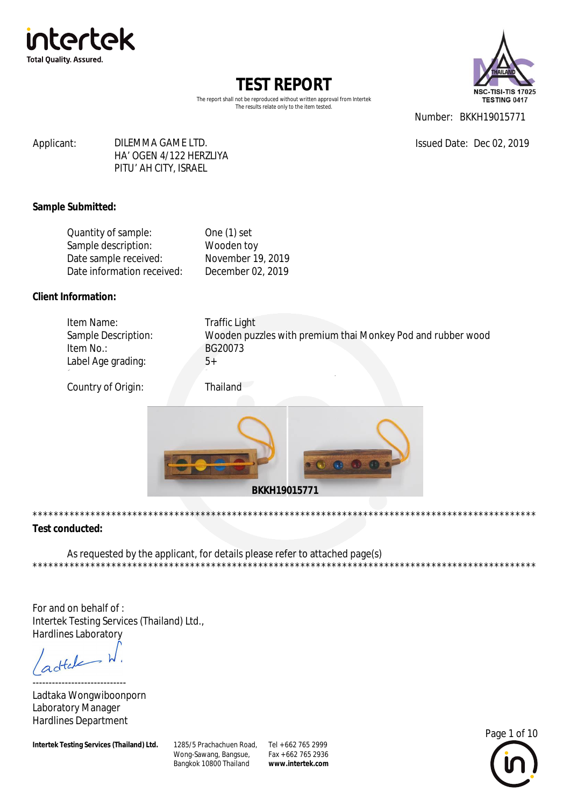



The report shall not be reproduced without written approval from Intertek The results relate only to the item tested.

Number: BKKH19015771

Issued Date: Dec 02, 2019

#### DILEMMA GAME LTD. Applicant: HA' OGEN 4/122 HERZLIYA PITU' AH CITY, ISRAEL

### **Sample Submitted:**

| One $(1)$ set     |
|-------------------|
| Wooden toy        |
| November 19, 2019 |
| December 02, 2019 |
|                   |

### **Client Information:**

| Item No.:<br>BG20073<br>Label Age grading:<br> | Traffic Light<br>Wooden puzzles with premium thai Monkey Pod and rubber wood | Item Name:<br>Sample Description: |
|------------------------------------------------|------------------------------------------------------------------------------|-----------------------------------|
|------------------------------------------------|------------------------------------------------------------------------------|-----------------------------------|

Country of Origin:

Thailand



#### **Test conducted:**

\*\*\*\*\*\*\*\*

As requested by the applicant, for details please refer to attached page(s)

For and on behalf of: Intertek Testing Services (Thailand) Ltd., Hardlines Laboratory

dtale

Ladtaka Wongwiboonporn Laboratory Manager **Hardlines Department** 

Intertek Testing Services (Thailand) Ltd.

1285/5 Prachachuen Road, Tel + 662 765 2999 Wong-Sawang, Bangsue, Bangkok 10800 Thailand

Fax + 662 765 2936 www.intertek.com



**+++++++++++++++**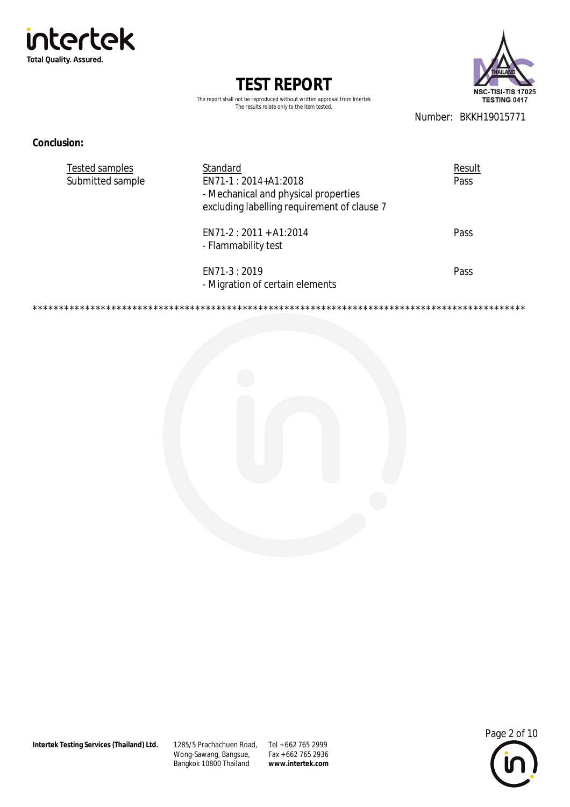



The report shall not be reproduced without written approval from Intertek The results relate only to the item tested.

Number: BKKH19015771

\*\*\*\*\*\*\*\*\*\*\*\*\*\*\*\*\*\*\*\*\*\*\*\*\*\*\*

#### **Conclusion:**

\*\*\*\*\*\*\*\*\*\*

| Tested samples<br>Submitted sample | Standard<br>EN71-1:2014+A1:2018<br>- Mechanical and physical properties<br>excluding labelling requirement of clause 7 | Result<br>Pass |
|------------------------------------|------------------------------------------------------------------------------------------------------------------------|----------------|
|                                    | $EN71-2: 2011 + A1:2014$<br>- Flammability test                                                                        | Pass           |
|                                    | EN71-3 : 2019<br>- Migration of certain elements                                                                       | Pass           |



1285/5 Prachachuen Road, Tel + 662 765 2999 Wong-Sawang, Bangsue,<br>Bangkok 10800 Thailand

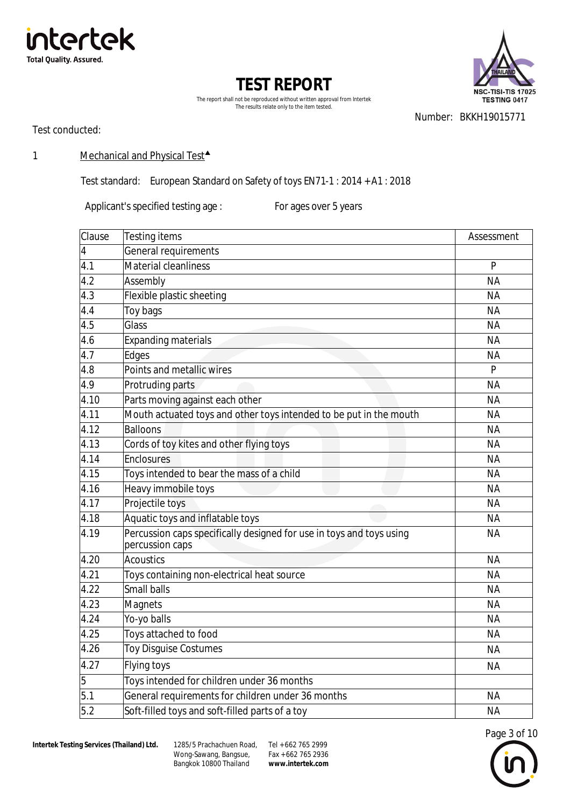





Number: BKKH19015771

Test conducted:

### 1 Mechanical and Physical Test<sup>4</sup>

Test standard: European Standard on Safety of toys EN71-1 : 2014 + A1 : 2018

Applicant's specified testing age : For ages over 5 years

| Clause           | <b>Testing items</b>                                                                    | Assessment |
|------------------|-----------------------------------------------------------------------------------------|------------|
| 4                | General requirements                                                                    |            |
| 4.1              | Material cleanliness                                                                    | P          |
| 4.2              | Assembly                                                                                | <b>NA</b>  |
| 4.3              | Flexible plastic sheeting                                                               | <b>NA</b>  |
| 4.4              | Toy bags                                                                                | <b>NA</b>  |
| 4.5              | Glass                                                                                   | <b>NA</b>  |
| 4.6              | <b>Expanding materials</b>                                                              | <b>NA</b>  |
| 4.7              | Edges                                                                                   | <b>NA</b>  |
| 4.8              | Points and metallic wires                                                               | P          |
| $\overline{4.9}$ | Protruding parts                                                                        | <b>NA</b>  |
| 4.10             | Parts moving against each other                                                         | <b>NA</b>  |
| 4.11             | Mouth actuated toys and other toys intended to be put in the mouth                      | <b>NA</b>  |
| 4.12             | <b>Balloons</b>                                                                         | <b>NA</b>  |
| 4.13             | Cords of toy kites and other flying toys                                                | <b>NA</b>  |
| 4.14             | Enclosures                                                                              | <b>NA</b>  |
| 4.15             | Toys intended to bear the mass of a child                                               | <b>NA</b>  |
| 4.16             | Heavy immobile toys                                                                     | <b>NA</b>  |
| 4.17             | Projectile toys                                                                         | <b>NA</b>  |
| 4.18             | Aquatic toys and inflatable toys                                                        | <b>NA</b>  |
| 4.19             | Percussion caps specifically designed for use in toys and toys using<br>percussion caps | <b>NA</b>  |
| 4.20             | <b>Acoustics</b>                                                                        | <b>NA</b>  |
| 4.21             | Toys containing non-electrical heat source                                              | <b>NA</b>  |
| 4.22             | <b>Small balls</b>                                                                      | <b>NA</b>  |
| 4.23             | <b>Magnets</b>                                                                          | <b>NA</b>  |
| 4.24             | Yo-yo balls                                                                             | <b>NA</b>  |
| 4.25             | Toys attached to food                                                                   | <b>NA</b>  |
| 4.26             | Toy Disguise Costumes                                                                   | <b>NA</b>  |
| 4.27             | Flying toys                                                                             | <b>NA</b>  |
| 5                | Toys intended for children under 36 months                                              |            |
| 5.1              | General requirements for children under 36 months                                       | <b>NA</b>  |
| 5.2              | Soft-filled toys and soft-filled parts of a toy                                         | <b>NA</b>  |

Wong-Sawang, Bangsue, Bangkok 10800 Thailand 1285/5 Prachachuen Road, Tel + 662 765 2999

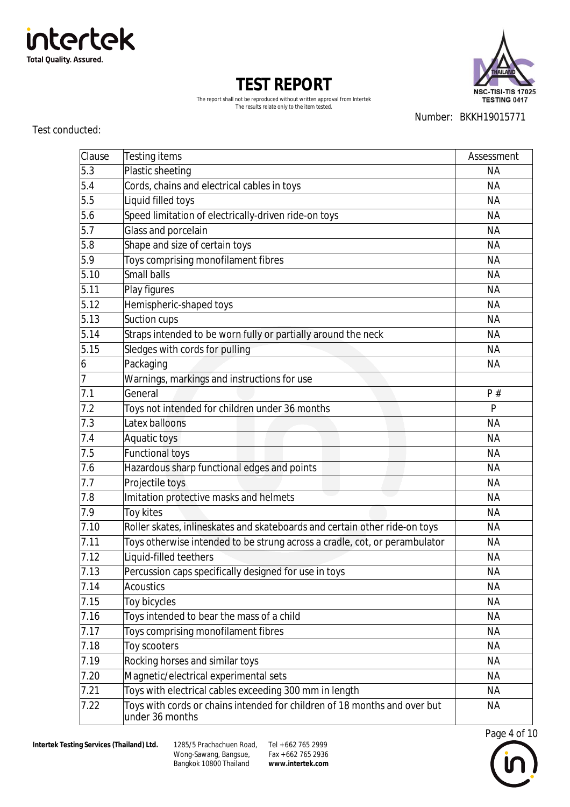



The report shall not be reproduced without written approval from Intertek The results relate only to the item tested.

Test conducted:

Number: BKKH19015771

| Clause         | <b>Testing items</b>                                                                         | Assessment |
|----------------|----------------------------------------------------------------------------------------------|------------|
| 5.3            | Plastic sheeting                                                                             | <b>NA</b>  |
| 5.4            | Cords, chains and electrical cables in toys                                                  | <b>NA</b>  |
| 5.5            | Liquid filled toys                                                                           | <b>NA</b>  |
| 5.6            | Speed limitation of electrically-driven ride-on toys                                         | <b>NA</b>  |
| 5.7            | Glass and porcelain                                                                          | <b>NA</b>  |
| 5.8            | Shape and size of certain toys                                                               | <b>NA</b>  |
| 5.9            | Toys comprising monofilament fibres                                                          | <b>NA</b>  |
| 5.10           | Small balls                                                                                  | <b>NA</b>  |
| 5.11           | Play figures                                                                                 | <b>NA</b>  |
| 5.12           | Hemispheric-shaped toys                                                                      | <b>NA</b>  |
| 5.13           | Suction cups                                                                                 | <b>NA</b>  |
| 5.14           | Straps intended to be worn fully or partially around the neck                                | <b>NA</b>  |
| 5.15           | Sledges with cords for pulling                                                               | <b>NA</b>  |
| 6              | Packaging                                                                                    | <b>NA</b>  |
| $\overline{7}$ | Warnings, markings and instructions for use                                                  |            |
| 7.1            | General                                                                                      | P#         |
| 7.2            | Toys not intended for children under 36 months                                               | P          |
| 7.3            | Latex balloons                                                                               | <b>NA</b>  |
| 7.4            | Aquatic toys                                                                                 | <b>NA</b>  |
| 7.5            | <b>Functional toys</b>                                                                       | <b>NA</b>  |
| 7.6            | Hazardous sharp functional edges and points                                                  | <b>NA</b>  |
| 7.7            | Projectile toys                                                                              | <b>NA</b>  |
| 7.8            | Imitation protective masks and helmets                                                       | <b>NA</b>  |
| 7.9            | Toy kites                                                                                    | <b>NA</b>  |
| 7.10           | Roller skates, inlineskates and skateboards and certain other ride-on toys                   | <b>NA</b>  |
| 7.11           | Toys otherwise intended to be strung across a cradle, cot, or perambulator                   | <b>NA</b>  |
| 7.12           | Liquid-filled teethers                                                                       | <b>NA</b>  |
| 7.13           | Percussion caps specifically designed for use in toys                                        | <b>NA</b>  |
| 7.14           | <b>Acoustics</b>                                                                             | <b>NA</b>  |
| 7.15           | Toy bicycles                                                                                 | <b>NA</b>  |
| 7.16           | Toys intended to bear the mass of a child                                                    | <b>NA</b>  |
| 7.17           | Toys comprising monofilament fibres                                                          | <b>NA</b>  |
| 7.18           | Toy scooters                                                                                 | <b>NA</b>  |
| 7.19           | Rocking horses and similar toys                                                              | <b>NA</b>  |
| 7.20           | Magnetic/electrical experimental sets                                                        | <b>NA</b>  |
| 7.21           | Toys with electrical cables exceeding 300 mm in length                                       | <b>NA</b>  |
| 7.22           | Toys with cords or chains intended for children of 18 months and over but<br>under 36 months | ΝA         |



Wong-Sawang, Bangsue, Bangkok 10800 Thailand 1285/5 Prachachuen Road, Tel + 662 765 2999

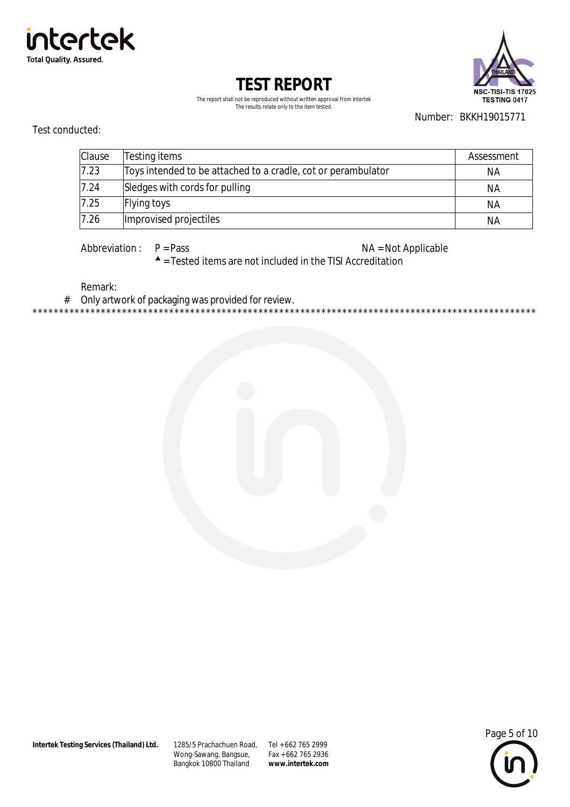Intertek Testing Services (Thailand) Ltd.

1285/5 Prachachuen Road, Tel + 662 765 2999 Wong-Sawang, Bangsue, Bangkok 10800 Thailand

Fax + 662 765 2936 www.intertek.com



Number: BKKH19015771

| Clause | Testing items                                                 | Assessment |
|--------|---------------------------------------------------------------|------------|
| 7.23   | Toys intended to be attached to a cradle, cot or perambulator | NА         |
| 7.24   | Sledges with cords for pulling                                | ΝA         |
| 7.25   | <b>Flying toys</b>                                            | ΝA         |
| 7.26   | Improvised projectiles                                        | ΝA         |

The report shall not be reproduced without written approval from Intertek The results relate only to the item tested.

**TEST REPORT** 



Test conducted:



Abbreviation:  $P = Pass$  NA = Not Applicable

\*\*\*\*\*\*\*\*\*\*\*\*\*\*\*\*\*\*\*\*\*\*\*\*\*\*\*\*

 $\triangle$  = Tested items are not included in the TISI Accreditation

Remark:

Only artwork of packaging was provided for review.  $#$ \*\*\*\*\*\*\*\*\*\*\*\*\*\*\*\*\*\*\*\*\*

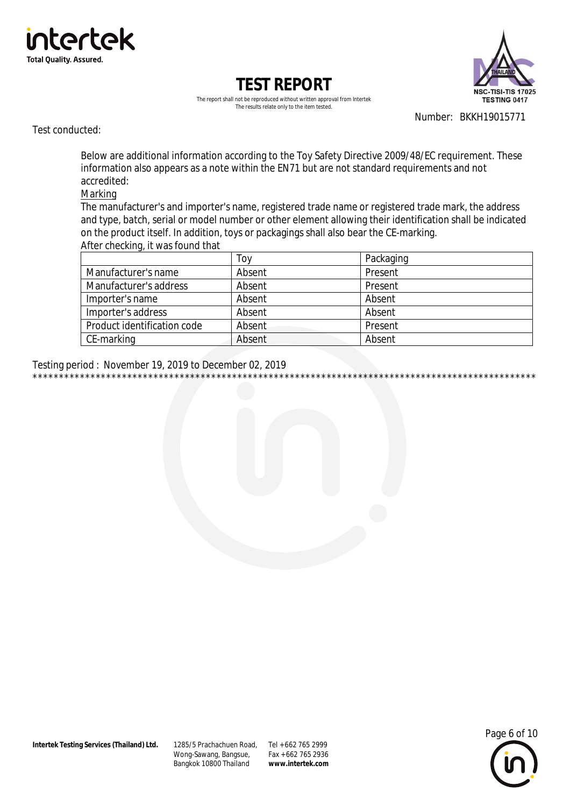





Number: BKKH19015771

Test conducted:

Below are additional information according to the Toy Safety Directive 2009/48/EC requirement. These information also appears as a note within the EN71 but are not standard requirements and not accredited:

#### Marking

The manufacturer's and importer's name, registered trade name or registered trade mark, the address and type, batch, serial or model number or other element allowing their identification shall be indicated on the product itself. In addition, toys or packagings shall also bear the CE-marking. After checking, it was found that

|                             | Тоу    | Packaging |
|-----------------------------|--------|-----------|
| Manufacturer's name         | Absent | Present   |
| Manufacturer's address      | Absent | Present   |
| Importer's name             | Absent | Absent    |
| Importer's address          | Absent | Absent    |
| Product identification code | Absent | Present   |
| CE-marking                  | Absent | Absent    |

Testing period: November 19, 2019 to December 02, 2019 \*\*\*\*\*\*\*\*\*\*\*\*\*\*\*

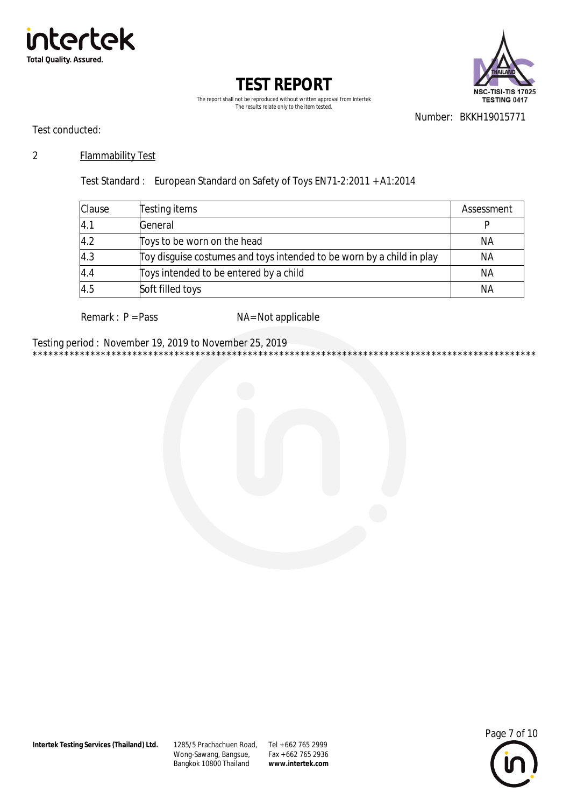





Number: BKKH19015771

\*\*\*\*\*\*\*\*\*\*\*\*\*\*\*\*\*

Test conducted:

#### $\overline{2}$ **Flammability Test**

Test Standard: European Standard on Safety of Toys EN71-2:2011 + A1:2014

| Clause | Testing items                                                         | Assessment |
|--------|-----------------------------------------------------------------------|------------|
| 4.1    | General                                                               |            |
| 4.2    | Toys to be worn on the head                                           | NА         |
| 4.3    | Toy disguise costumes and toys intended to be worn by a child in play | NА         |
| 4.4    | Toys intended to be entered by a child                                | <b>NA</b>  |
| 4.5    | Soft filled toys                                                      | <b>NA</b>  |

Remark :  $P = Pass$ 

NA= Not applicable

Testing period: November 19, 2019 to November 25, 2019 \*\*\*\*\*\*\*\*\*\*\*\*\*\*\*\*\*\*\*\*\* \*\*\*\*\*\*\* \*\*\*\*\*\*\*\*



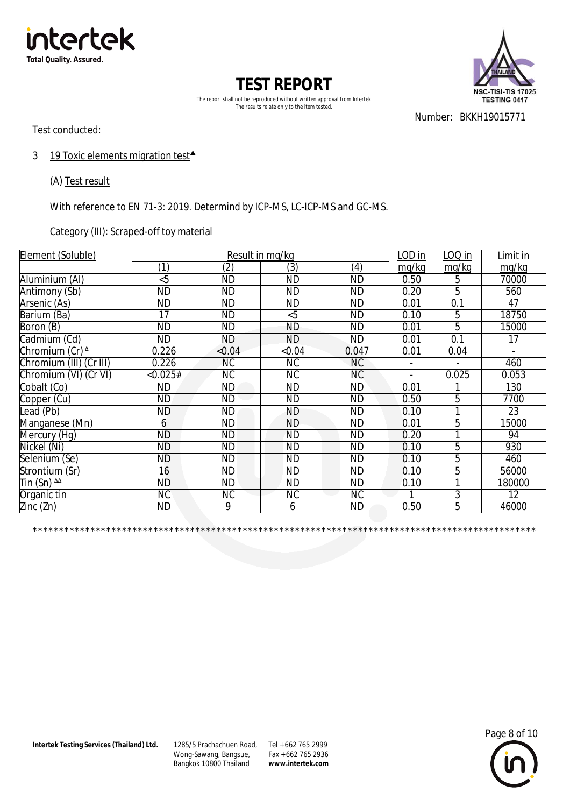



The report shall not be reproduced without written approval from Intertek The results relate only to the item tested.

Test conducted:

Number: BKKH19015771

3 19 Toxic elements migration test<sup>4</sup>

(A) Test result

With reference to EN 71-3: 2019. Determind by ICP-MS, LC-ICP-MS and GC-MS.

Category (III): Scraped-off toy material

| Element (Soluble)                     | Result in mg/kg |                   |           |           |                          | LOQ in                   | Limit in       |
|---------------------------------------|-----------------|-------------------|-----------|-----------|--------------------------|--------------------------|----------------|
|                                       | (1)             | $\left( 2\right)$ | (3)       | (4)       | mg/kg                    | mg/kg                    | mg/kg          |
| Aluminium (AI)                        | &5              | <b>ND</b>         | <b>ND</b> | <b>ND</b> | 0.50                     | 5                        | 70000          |
| Antimony (Sb)                         | <b>ND</b>       | <b>ND</b>         | <b>ND</b> | <b>ND</b> | 0.20                     | 5                        | 560            |
| Arsenic (As)                          | <b>ND</b>       | <b>ND</b>         | <b>ND</b> | <b>ND</b> | 0.01                     | 0.1                      | 47             |
| Barium (Ba)                           | 17              | <b>ND</b>         | &5        | <b>ND</b> | 0.10                     | 5                        | 18750          |
| Boron (B)                             | <b>ND</b>       | <b>ND</b>         | <b>ND</b> | <b>ND</b> | 0.01                     | 5                        | 15000          |
| Cadmium (Cd)                          | <b>ND</b>       | ND                | <b>ND</b> | <b>ND</b> | 0.01                     | $\overline{0.1}$         | 17             |
| Chromium (Cr) <sup>^</sup>            | 0.226           | < 0.04            | < 0.04    | 0.047     | 0.01                     | 0.04                     | $\overline{a}$ |
| Chromium (III) (Cr III)               | 0.226           | NC.               | <b>NC</b> | <b>NC</b> | $\blacksquare$           | $\overline{\phantom{0}}$ | 460            |
| Chromium (VI) (Cr VI)                 | < 0.025#        | NC.               | <b>NC</b> | NC        | $\overline{\phantom{a}}$ | 0.025                    | 0.053          |
| Cobalt (Co)                           | <b>ND</b>       | ND.               | <b>ND</b> | <b>ND</b> | 0.01                     |                          | 130            |
| Copper (Cu)                           | <b>ND</b>       | <b>ND</b>         | <b>ND</b> | <b>ND</b> | 0.50                     | 5                        | 7700           |
| Lead (Pb)                             | <b>ND</b>       | <b>ND</b>         | <b>ND</b> | <b>ND</b> | 0.10                     |                          | 23             |
| Manganese (Mn)                        | 6               | <b>ND</b>         | <b>ND</b> | <b>ND</b> | 0.01                     | 5                        | 15000          |
| Mercury (Hg)                          | $\overline{ND}$ | <b>ND</b>         | <b>ND</b> | <b>ND</b> | 0.20                     | 1                        | 94             |
| Nickel (Ni)                           | <b>ND</b>       | <b>ND</b>         | <b>ND</b> | <b>ND</b> | 0.10                     | 5                        | 930            |
| Selenium (Se)                         | <b>ND</b>       | <b>ND</b>         | <b>ND</b> | <b>ND</b> | 0.10                     | 5                        | 460            |
| Strontium (Sr)                        | 16              | <b>ND</b>         | <b>ND</b> | <b>ND</b> | 0.10                     | $\overline{5}$           | 56000          |
| $\overline{\text{I}}$ in (Sn) $^{AA}$ | <b>ND</b>       | <b>ND</b>         | <b>ND</b> | <b>ND</b> | 0.10                     | 1                        | 180000         |
| Organic tin                           | <b>NC</b>       | <b>NC</b>         | <b>NC</b> | <b>NC</b> |                          | 3                        | 12             |
| Zinc( Zn)                             | <b>ND</b>       | 9                 | 6         | <b>ND</b> | 0.50                     | 5                        | 46000          |

\*\*\*\*\*\*\*\*\*\*\*\*\*\*\*\*\*\*\*\*\*\*\*\*\*\*\*\*\*\*\*\*\*\*\*\*\*\*\*\*\*\*\*\*\*\*\*\*\*\*\*\*\*\*\*\*\*\*\*\*\*\*\*\*\*\*\*\*\*\*\*\*\*\*\*\*\*\*\*\*\*\*\*\*\*\*\*\*\*\*\*\*\*\*\*\*

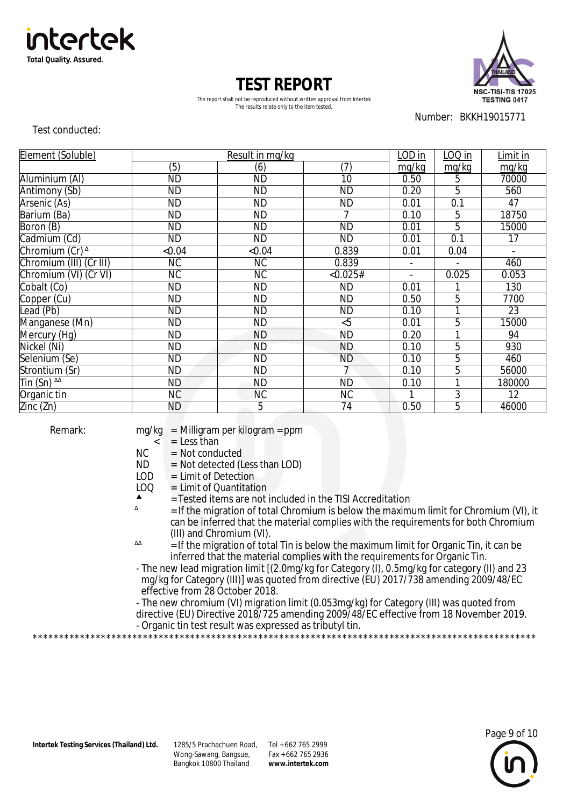



The report shall not be reproduced without written approval from Intertek The results relate only to the item tested.

Number: BKKH19015771

Test conducted:

| Element (Soluble)          |           | Result in mg/kg |                | LOD in | LOQ in                   | Limit in     |
|----------------------------|-----------|-----------------|----------------|--------|--------------------------|--------------|
|                            | (5)       | (6)             | (7)            | mg/kg  | mg/kg                    | mg/kg        |
| Aluminium (AI)             | <b>ND</b> | <b>ND</b>       | 10             | 0.50   | 5                        | 70000        |
| Antimony (Sb)              | <b>ND</b> | <b>ND</b>       | <b>ND</b>      | 0.20   | 5                        | 560          |
| Arsenic (As)               | <b>ND</b> | <b>ND</b>       | <b>ND</b>      | 0.01   | 0.1                      | 47           |
| Barium (Ba)                | <b>ND</b> | <b>ND</b>       | 7              | 0.10   | 5                        | 18750        |
| Boron (B)                  | <b>ND</b> | <b>ND</b>       | <b>ND</b>      | 0.01   | $\overline{5}$           | 15000        |
| Cadmium (Cd)               | <b>ND</b> | <b>ND</b>       | <b>ND</b>      | 0.01   | 0.1                      | 17           |
| Chromium (Cr) <sup>^</sup> | < 0.04    | < 0.04          | 0.839          | 0.01   | 0.04                     | $\mathbf{r}$ |
| Chromium (III) (Cr III)    | <b>NC</b> | NC.             | 0.839          |        | $\overline{\phantom{a}}$ | 460          |
| Chromium (VI) (Cr VI)      | <b>NC</b> | <b>NC</b>       | < 0.025#       |        | 0.025                    | 0.053        |
| Cobalt (Co)                | <b>ND</b> | <b>ND</b>       | <b>ND</b>      | 0.01   |                          | 130          |
| Copper (Cu)                | <b>ND</b> | <b>ND</b>       | <b>ND</b>      | 0.50   | $\overline{5}$           | 7700         |
| Lead (Pb)                  | <b>ND</b> | <b>ND</b>       | <b>ND</b>      | 0.10   | 1                        | 23           |
| Manganese (Mn)             | <b>ND</b> | <b>ND</b>       | &5             | 0.01   | 5                        | 15000        |
| Mercury (Hg)               | <b>ND</b> | <b>ND</b>       | <b>ND</b>      | 0.20   | 1                        | 94           |
| Nickel (Ni)                | <b>ND</b> | <b>ND</b>       | <b>ND</b>      | 0.10   | 5                        | 930          |
| Selenium (Se)              | <b>ND</b> | <b>ND</b>       | <b>ND</b>      | 0.10   | 5                        | 460          |
| Strontium (Sr)             | <b>ND</b> | <b>ND</b>       | $\overline{7}$ | 0.10   | 5                        | 56000        |
| Tin (Sn) $^{44}$           | ND        | <b>ND</b>       | <b>ND</b>      | 0.10   | 1                        | 180000       |
| Organic tin                | <b>NC</b> | <b>NC</b>       | <b>NC</b>      |        | 3                        | 12           |
| Zinc(Zn)                   | ND        | 5               | 74             | 0.50   | $\overline{5}$           | 46000        |

Remark: mg/kg = Milligram per kilogram = ppm

- $=$  Less than
- $NC = Not conducted$
- $ND$  = Not detected (Less than LOD)<br>LOD = Limit of Detection
- $\begin{bmatrix} \text{LOD} \\ \text{LOQ} \end{bmatrix}$  = Limit of Quantitati
- $\text{LOQ} = \text{Limit of Quantitation}$
- $\triangle$  = Tested items are not included in the TISI Accreditation

\*\*\*\*\*\*\*\*\*\*\*\*\*\*\*\*\*\*\*\*\*\*\*\*\*\*\*\*\*\*\*\*\*\*\*\*\*\*\*\*\*\*\*\*\*\*\*\*\*\*\*\*\*\*\*\*\*\*\*\*\*\*\*\*\*\*\*\*\*\*\*\*\*\*\*\*\*\*\*\*\*\*\*\*\*\*\*\*\*\*\*\*\*\*\*\*

- = If the migration of total Chromium is below the maximum limit for Chromium (VI), it can be inferred that the material complies with the requirements for both Chromium (III) and Chromium (VI).
- ΔΔ  $=$  If the migration of total Tin is below the maximum limit for Organic Tin, it can be inferred that the material complies with the requirements for Organic Tin.
- The new lead migration limit [(2.0mg/kg for Category (I), 0.5mg/kg for category (II) and 23 mg/kg for Category (III)] was quoted from directive (EU) 2017/738 amending 2009/48/EC effective from 28 October 2018.
- The new chromium (VI) migration limit (0.053mg/kg) for Category (III) was quoted from directive (EU) Directive 2018/725 amending 2009/48/EC effective from 18 November 2019. - Organic tin test result was expressed as tributyl tin.

**Intertek Testing Services (Thailand) Ltd.** 

Wong-Sawang, Bangsue, Bangkok 10800 Thailand 1285/5 Prachachuen Road, Tel + 662 765 2999